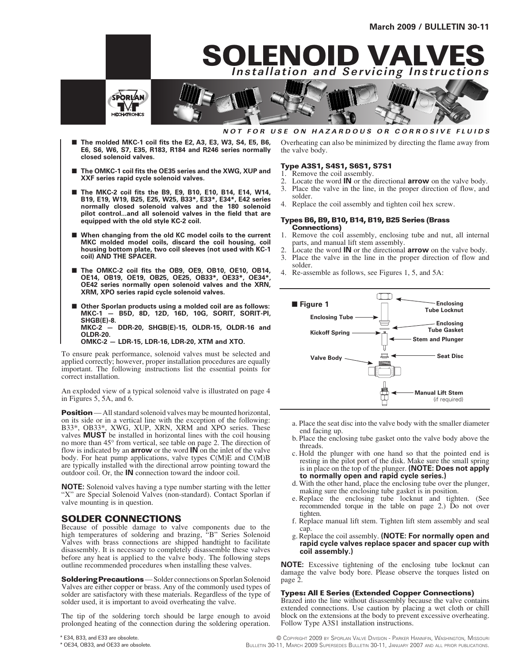

#### **NOT FOR USE ON HAZARDOUS OR CORROSIVE FLUIDS**

**SOLENOID VALVES Installation and Servicing Instructions**

- The molded MKC-1 coil fits the E2, A3, E3, W3, S4, E5, B6, **E6, S6, W6, S7, E35, R183, R184 and R246 series normally closed solenoid valves.**
- The OMKC-1 coil fits the OE35 series and the XWG, XUP and **XXF series rapid cycle solenoid valves.**
- The MKC-2 coil fits the B9, E9, B10, E10, B14, E14, W14, **B19, E19, W19, B25, E25, W25, B33\*, E33\*, E34\*, E42 series normally closed solenoid valves and the 180 solenoid pilot control...and all solenoid valves in the field that are equipped with the old style KC-2 coil.**
- When changing from the old KC model coils to the current **MKC molded model coils, discard the coil housing, coil housing bottom plate, two coil sleeves (not used with KC-1 coil) AND THE SPACER.**
- The OMKC-2 coil fits the OB9, OE9, OB10, OE10, OB14, **OE14, OB19, OE19, OB25, OE25, OB33\*, OE33\*, OE34\*, OE42 series normally open solenoid valves and the XRN, XRM, XPO series rapid cycle solenoid valves.**
- Other Sporlan products using a molded coil are as follows: **MKC-1 — B5D, 8D, 12D, 16D, 10G, SORIT, SORIT-PI, SHGB(E)-8. MKC-2 — DDR-20, SHGB(E)-15, OLDR-15, OLDR-16 and OLDR-20. OMKC-2 — LDR-15, LDR-16, LDR-20, XTM and XTO.**

To ensure peak performance, solenoid valves must be selected and applied correctly; however, proper installation procedures are equally important. The following instructions list the essential points for correct installation.

An exploded view of a typical solenoid valve is illustrated on page 4 in Figures 5, 5A, and 6.

**Position** — All standard solenoid valves may be mounted horizontal, on its side or in a vertical line with the exception of the following: B33\*, OB33\*, XWG, XUP, XRN, XRM and XPO series. These valves **MUST** be installed in horizontal lines with the coil housing no more than 45° from vertical, see table on page 2. The direction of flow is indicated by an **arrow** or the word **IN** on the inlet of the valve body. For heat pump applications, valve types C(M)E and C(M)B are typically installed with the directional arrow pointing toward the outdoor coil. Or, the **IN** connection toward the indoor coil.

**NOTE:** Solenoid valves having a type number starting with the letter "X" are Special Solenoid Valves (non-standard). Contact Sporlan if valve mounting is in question.

### **SOLDER CONNECTIONS**

Because of possible damage to valve components due to the high temperatures of soldering and brazing, "B" Series Solenoid Valves with brass connections are shipped handtight to facilitate disassembly. It is necessary to completely disassemble these valves before any heat is applied to the valve body. The following steps outline recommended procedures when installing these valves.

**Soldering Precautions** — Solder connections on Sporlan Solenoid Valves are either copper or brass. Any of the commonly used types of solder are satisfactory with these materials. Regardless of the type of solder used, it is important to avoid overheating the valve.

The tip of the soldering torch should be large enough to avoid prolonged heating of the connection during the soldering operation. Overheating can also be minimized by directing the flame away from the valve body.

#### **Type A3S1, S4S1, S6S1, S7S1**

- Remove the coil assembly.
- 2. Locate the word **IN** or the directional **arrow** on the valve body.
- Place the valve in the line, in the proper direction of flow, and
- solder.
- 4. Replace the coil assembly and tighten coil hex screw.

#### **Types B6, B9, B10, B14, B19, B25 Series (Brass Connections)**

- 1. Remove the coil assembly, enclosing tube and nut, all internal parts, and manual lift stem assembly.
- 2. Locate the word **IN** or the directional **arrow** on the valve body.
- 3. Place the valve in the line in the proper direction of flow and solder.
- 4. Re-assemble as follows, see Figures 1, 5, and 5A:



- a. Place the seat disc into the valve body with the smaller diameter end facing up.
- b. Place the enclosing tube gasket onto the valve body above the
- c. Hold the plunger with one hand so that the pointed end is resting in the pilot port of the disk. Make sure the small spring is in place on the top of the plunger. **(NOTE: Does not apply to normally open and rapid cycle series.)**
- d.With the other hand, place the enclosing tube over the plunger, making sure the enclosing tube gasket is in position.<br>e. Replace the enclosing tube locknut and tighten. (See
- recommended torque in the table on page 2.) Do not over tighten.
- f. Replace manual lift stem. Tighten lift stem assembly and seal cap.
- g.Replace the coil assembly. **(NOTE: For normally open and rapid cycle valves replace spacer and spacer cup with coil assembly.)**

**NOTE:** Excessive tightening of the enclosing tube locknut can damage the valve body bore. Please observe the torques listed on page 2.

#### **Types: All E Series (Extended Copper Connections)**

Brazed into the line without disassembly because the valve contains extended connections. Use caution by placing a wet cloth or chill block on the extensions at the body to prevent excessive overheating. Follow Type A3S1 installation instructions.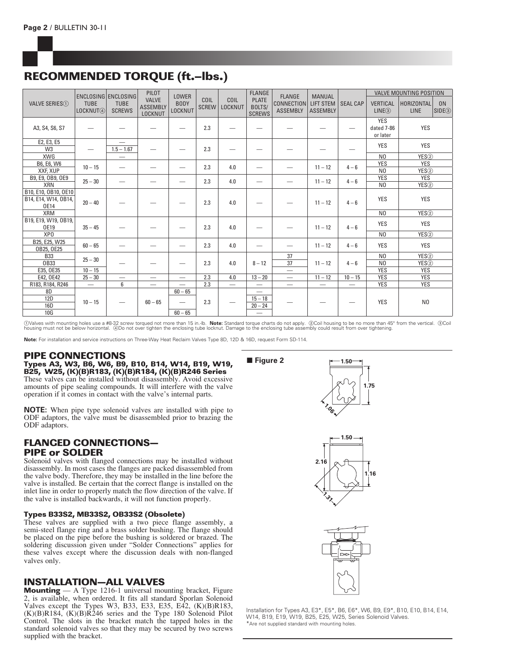## **RECOMMENDED TORQUE (ft.–lbs.)**

|                                |                                       | ENCLOSING ENCLOSING          | PILOT                                      | <b>LOWER</b>                  |                      |                                 | <b>FLANGE</b>                           | <b>FLANGE</b>                 | <b>MANUAL</b>                       |                          | <b>VALVE MOUNTING POSITION</b>       |                                  |                                     |
|--------------------------------|---------------------------------------|------------------------------|--------------------------------------------|-------------------------------|----------------------|---------------------------------|-----------------------------------------|-------------------------------|-------------------------------------|--------------------------|--------------------------------------|----------------------------------|-------------------------------------|
| VALVE SERIES (1)               | <b>TUBE</b><br>LOCKNUT <sub>(4)</sub> | <b>TUBE</b><br><b>SCREWS</b> | <b>VALVE</b><br><b>ASSEMBLY</b><br>LOCKNUT | <b>BODY</b><br><b>LOCKNUT</b> | COIL<br><b>SCREW</b> | COIL<br>LOCKNUT                 | <b>PLATE</b><br>BOLTS/<br><b>SCREWS</b> | CONNECTION<br><b>ASSEMBLY</b> | <b>LIFT STEM</b><br><b>ASSEMBLY</b> | <b>SEAL CAP</b>          | <b>VERTICAL</b><br>LINE(3)           | <b>HORIZONTAL</b><br><b>LINE</b> | 0 <sub>N</sub><br>SIDE <sup>3</sup> |
| A3, S4, S6, S7                 |                                       |                              |                                            |                               | 2.3                  |                                 |                                         |                               |                                     |                          | <b>YES</b><br>dated 7-86<br>or later | YES                              |                                     |
| E2, E3, E5                     |                                       | $\overline{\phantom{0}}$     |                                            |                               |                      |                                 |                                         |                               |                                     |                          | <b>YES</b>                           | <b>YES</b>                       |                                     |
| W <sub>3</sub>                 |                                       | $1.5 - 1.67$                 |                                            |                               | 2.3                  |                                 |                                         |                               |                                     |                          |                                      |                                  |                                     |
| <b>XWG</b>                     |                                       | $\overline{\phantom{0}}$     |                                            |                               |                      |                                 |                                         |                               |                                     |                          | N <sub>0</sub>                       | YES2                             |                                     |
| B6, E6, W6                     | $10 - 15$                             | $\overline{\phantom{0}}$     |                                            |                               | 2.3                  | 4.0                             |                                         |                               | $11 - 12$                           | $4 - 6$                  | <b>YES</b>                           | <b>YES</b>                       |                                     |
| XXF. XUP                       |                                       |                              |                                            |                               |                      |                                 |                                         |                               |                                     |                          | N <sub>0</sub>                       | YES2                             |                                     |
| B9, E9, OB9, OE9<br><b>XRN</b> | $25 - 30$                             |                              |                                            | -                             | 2.3                  | 4.0                             |                                         |                               | $11 - 12$                           | $4 - 6$                  | <b>YES</b><br>N <sub>0</sub>         | <b>YES</b><br>YES <sup>(2)</sup> |                                     |
| B10, E10, OB10, OE10           |                                       |                              |                                            |                               |                      |                                 |                                         |                               |                                     |                          |                                      |                                  |                                     |
| B14, E14, W14, OB14,<br>0E14   | $20 - 40$                             |                              |                                            |                               | 2.3                  | 4.0                             |                                         |                               | $11 - 12$                           | $4 - 6$                  | <b>YES</b>                           | YES                              |                                     |
| <b>XRM</b>                     |                                       |                              |                                            |                               |                      |                                 |                                         |                               |                                     |                          | N <sub>0</sub>                       | YES(2)                           |                                     |
| B19, E19, W19, OB19,           |                                       |                              |                                            |                               |                      |                                 |                                         |                               |                                     |                          | <b>YES</b>                           | YES                              |                                     |
| <b>OE19</b>                    | $35 - 45$                             |                              |                                            |                               | 2.3                  | 4.0                             |                                         |                               | $11 - 12$                           | $4 - 6$                  |                                      |                                  |                                     |
| XP <sub>0</sub>                |                                       |                              |                                            |                               |                      |                                 |                                         |                               |                                     |                          | N <sub>0</sub>                       | YES2                             |                                     |
| B25, E25, W25<br>OB25, OE25    | $60 - 65$                             |                              |                                            |                               | 2.3                  | 4.0                             |                                         |                               | $11 - 12$                           | $4 - 6$                  | <b>YES</b>                           | YES                              |                                     |
| <b>B33</b>                     |                                       |                              |                                            |                               |                      |                                 |                                         | 37                            |                                     |                          | N <sub>0</sub>                       | YES(2)                           |                                     |
| 0B33                           | $25 - 30$                             |                              |                                            |                               | 2.3                  | 4.0                             | $8 - 12$                                | 37                            | $11 - 12$                           | $4 - 6$                  | N <sub>0</sub>                       | YES2                             |                                     |
| E35, OE35                      | $10 - 15$                             |                              |                                            |                               |                      |                                 |                                         |                               |                                     |                          | <b>YES</b>                           | <b>YES</b>                       |                                     |
| E42, 0E42                      | $25 - 30$                             | $\overline{\phantom{0}}$     |                                            | $\overline{\phantom{0}}$      | 2.3                  | 4.0                             | $13 - 20$                               |                               | $11 - 12$                           | $10 - 15$                | <b>YES</b>                           | <b>YES</b>                       |                                     |
| R183, R184, R246               | $\qquad \qquad -$                     | 6                            | $\overline{\phantom{0}}$                   |                               | 2.3                  | $\overbrace{\qquad \qquad }^{}$ | —                                       | $\overline{\phantom{0}}$      | $\overline{\phantom{0}}$            | $\overline{\phantom{0}}$ | <b>YES</b>                           | <b>YES</b>                       |                                     |
| 8D                             |                                       |                              |                                            | $60 - 65$                     |                      |                                 | $\overline{\phantom{m}}$                |                               |                                     |                          |                                      |                                  |                                     |
| <b>12D</b><br>16D              | $10 - 15$                             |                              | $60 - 65$                                  | $\overline{\phantom{0}}$      | 2.3                  |                                 | $15 - 18$<br>$20 - 24$                  | -                             |                                     |                          | <b>YES</b>                           | N <sub>0</sub>                   |                                     |
| 10G                            |                                       |                              |                                            | $60 - 65$                     |                      |                                 |                                         |                               |                                     |                          |                                      |                                  |                                     |

①Valves with mounting holes use a #8-32 screw torqued not more than 15 in.-lb. **Note:** Standard torque charts do not apply. ②Coil housing to be no more than 45° from the vertical. ③Coil<br>housing must not be below horizontal

**Note:** For installation and service instructions on Three-Way Heat Reclaim Valves Type 8D, 12D & 16D, request Form SD-114.

## **PIPE CONNECTIONS**

**Types A3, W3, B6, W6, B9, B10, B14, W14, B19, W19, B25, W25, (K)(B)R183, (K)(B)R184, (K)(B)R246 Series** These valves can be installed without disassembly. Avoid excessive amounts of pipe sealing compounds. It will interfere with the valve operation if it comes in contact with the valve's internal parts.

**NOTE:** When pipe type solenoid valves are installed with pipe to ODF adaptors, the valve must be disassembled prior to brazing the ODF adaptors.

## **FLANGED CONNECTIONS— PIPE or SOLDER**

Solenoid valves with flanged connections may be installed without disassembly. In most cases the flanges are packed disassembled from the valve body. Therefore, they may be installed in the line before the valve is installed. Be certain that the correct flange is installed on the inlet line in order to properly match the flow direction of the valve. If the valve is installed backwards, it will not function properly.

#### **Types B33S2, MB33S2, OB33S2 (Obsolete)**

These valves are supplied with a two piece flange assembly, a semi-steel flange ring and a brass solder bushing. The flange should be placed on the pipe before the bushing is soldered or brazed. The soldering discussion given under "Solder Connections" applies for these valves except where the discussion deals with non-flanged valves only.

## **INSTALLATION—ALL VALVES**

**Mounting** — A Type 1216-1 universal mounting bracket, Figure 2, is available, when ordered. It fits all standard Sporlan Solenoid Valves except the Types W3, B33, E33, E35, E42, (K)(B)R183, (K)(B)R184, (K)(B)R246 series and the Type 180 Solenoid Pilot Control. The slots in the bracket match the tapped holes in the standard solenoid valves so that they may be secured by two screws supplied with the bracket.

■ Figure 2







Installation for Types A3, E3\*, E5\*, B6, E6\*, W6, B9, E9\*, B10, E10, B14, E14, W14, B19, E19, W19, B25, E25, W25, Series Solenoid Valves. \*Are not supplied standard with mounting holes.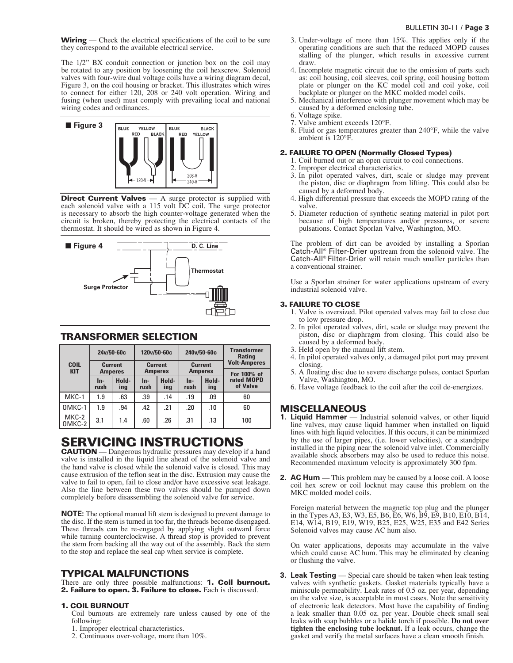**Wiring** — Check the electrical specifications of the coil to be sure they correspond to the available electrical service.

The 1/2" BX conduit connection or junction box on the coil may be rotated to any position by loosening the coil hexscrew. Solenoid valves with four-wire dual voltage coils have a wiring diagram decal, Figure 3, on the coil housing or bracket. This illustrates which wires to connect for either 120, 208 or 240 volt operation. Wiring and fusing (when used) must comply with prevailing local and national wiring codes and ordinances.



**Direct Current Valves** — A surge protector is supplied with each solenoid valve with a 115 volt DC coil. The surge protector is necessary to absorb the high counter-voltage generated when the circuit is broken, thereby protecting the electrical contacts of the thermostat. It should be wired as shown in Figure 4.



### **TRANSFORMER SELECTION**

|                           |                             | 24v/50-60c                       | 120v/50-60c                      |     | 240v/50-60c   |                                  | <b>Transformer</b><br><b>Rating</b><br><b>Volt-Amperes</b><br>For 100% of |  |
|---------------------------|-----------------------------|----------------------------------|----------------------------------|-----|---------------|----------------------------------|---------------------------------------------------------------------------|--|
| <b>COIL</b><br><b>KIT</b> |                             | <b>Current</b><br><b>Amperes</b> | <b>Current</b><br><b>Amperes</b> |     |               | <b>Current</b><br><b>Amperes</b> |                                                                           |  |
|                           | Hold-<br>In-<br>rush<br>ing |                                  | Hold-<br>$In-$<br>rush<br>ing    |     | $In-$<br>rush | Hold-<br>ing                     | rated MOPD<br>of Valve                                                    |  |
| MKC-1                     | 1.9                         | .63                              | .39                              | .14 | .19           | .09                              | 60                                                                        |  |
| OMKC-1                    | 1.9                         | .94                              | .42                              | .21 | .20           | .10                              | 60                                                                        |  |
| MKC-2<br>OMKC-2           | 3.1                         | 1.4                              | .60                              | .26 | .31           | .13                              | 100                                                                       |  |

# **SERVICING INSTRUCTIONS**

**CAUTION** — Dangerous hydraulic pressures may develop if a hand valve is installed in the liquid line ahead of the solenoid valve and the hand valve is closed while the solenoid valve is closed. This may cause extrusion of the teflon seat in the disc. Extrusion may cause the valve to fail to open, fail to close and/or have excessive seat leakage. Also the line between these two valves should be pumped down completely before disassembling the solenoid valve for service.

**NOTE:** The optional manual lift stem is designed to prevent damage to the disc. If the stem is turned in too far, the threads become disengaged. These threads can be re-engaged by applying slight outward force while turning counterclockwise. A thread stop is provided to prevent the stem from backing all the way out of the assembly. Back the stem to the stop and replace the seal cap when service is complete.

## **TYPICAL MALFUNCTIONS**

There are only three possible malfunctions: **1. Coil burnout. 2. Failure to open. 3. Failure to close.** Each is discussed.

#### **1. COIL BURNOUT**

Coil burnouts are extremely rare unless caused by one of the following:

- 1. Improper electrical characteristics.
- 2. Continuous over-voltage, more than 10%.
- 3. Under-voltage of more than 15%. This applies only if the operating conditions are such that the reduced MOPD causes stalling of the plunger, which results in excessive current draw.
- 4. Incomplete magnetic circuit due to the omission of parts such as: coil housing, coil sleeves, coil spring, coil housing bottom plate or plunger on the KC model coil and coil yoke, coil backplate or plunger on the MKC molded model coils.
- 5. Mechanical interference with plunger movement which may be caused by a deformed enclosing tube.
- 6. Voltage spike.
- 7. Valve ambient exceeds 120°F. 8. Fluid or gas temperatures greater than 240°F, while the valve ambient is 120°F.

## **2. FAILURE TO OPEN (Normally Closed Types)**

- 1. Coil burned out or an open circuit to coil connections.
	- 2. Improper electrical characteristics.
	- 3. In pilot operated valves, dirt, scale or sludge may prevent the piston, disc or diaphragm from lifting. This could also be caused by a deformed body.
	- 4. High differential pressure that exceeds the MOPD rating of the valve.
	- 5. Diameter reduction of synthetic seating material in pilot port because of high temperatures and/or pressures, or severe pulsations. Contact Sporlan Valve, Washington, MO.

The problem of dirt can be avoided by installing a Sporlan Catch-AIl® Filter-Drier upstream from the solenoid valve. The Catch-AII® Filter-Drier will retain much smaller particles than a conventional strainer.

Use a Sporlan strainer for water applications upstream of every industrial solenoid valve.

#### **3. FAILURE TO CLOSE**

- 1. Valve is oversized. Pilot operated valves may fail to close due to low pressure drop.
- 2. In pilot operated valves, dirt, scale or sludge may prevent the piston, disc or diaphragm from closing. This could also be caused by a deformed body.
- 3. Held open by the manual lift stem.
- 4. In pilot operated valves only, a damaged pilot port may prevent closing.
- 5. A floating disc due to severe discharge pulses, contact Sporlan Valve, Washington, MO.
- 6. Have voltage feedback to the coil after the coil de-energizes.

## **MISCELLANEOUS**

- **1. Liquid Hammer** Industrial solenoid valves, or other liquid line valves, may cause liquid hammer when installed on liquid lines with high liquid velocities. If this occurs, it can be minimized by the use of larger pipes, (i.e. lower velocities), or a standpipe installed in the piping near the solenoid valve inlet. Commercially available shock absorbers may also be used to reduce this noise. Recommended maximum velocity is approximately 300 fpm.
- **2. AC Hum** This problem may be caused by a loose coil. A loose coil hex screw or coil locknut may cause this problem on the MKC molded model coils.

Foreign material between the magnetic top plug and the plunger in the Types A3, E3, W3, E5, B6, E6, W6, B9, E9, B10, E10, B14, E14, W14, B19, E19, W19, B25, E25, W25, E35 and E42 Series Solenoid valves may cause AC hum also.

On water applications, deposits may accumulate in the valve which could cause AC hum. This may be eliminated by cleaning or flushing the valve.

**3. Leak Testing** — Special care should be taken when leak testing valves with synthetic gaskets. Gasket materials typically have a miniscule permeability. Leak rates of 0.5 oz. per year, depending on the valve size, is acceptable in most cases. Note the sensitivity of electronic leak detectors. Most have the capability of finding a leak smaller than 0.05 oz. per year. Double check small seal leaks with soap bubbles or a halide torch if possible. **Do not over tighten the enclosing tube locknut.** If a leak occurs, change the gasket and verify the metal surfaces have a clean smooth finish.